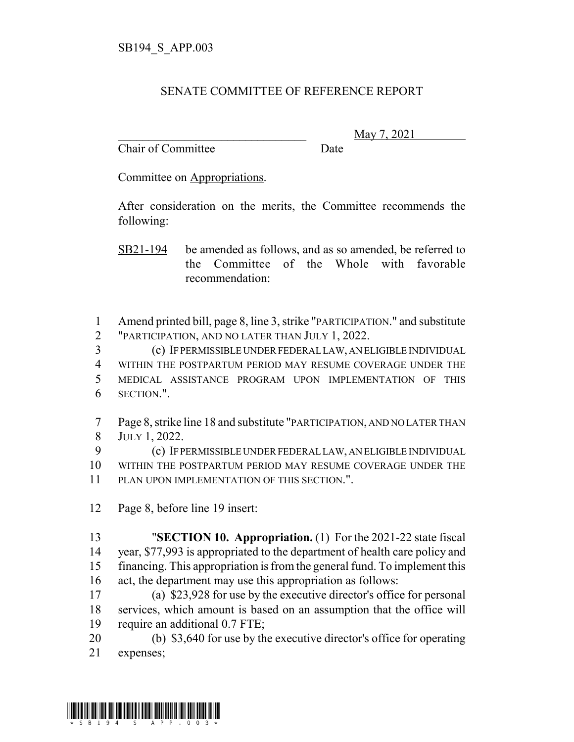## SENATE COMMITTEE OF REFERENCE REPORT

Chair of Committee Date

\_\_\_\_\_\_\_\_\_\_\_\_\_\_\_\_\_\_\_\_\_\_\_\_\_\_\_\_\_\_\_ May 7, 2021

Committee on Appropriations.

After consideration on the merits, the Committee recommends the following:

SB21-194 be amended as follows, and as so amended, be referred to the Committee of the Whole with favorable recommendation:

 Amend printed bill, page 8, line 3, strike "PARTICIPATION." and substitute "PARTICIPATION, AND NO LATER THAN JULY 1, 2022.

 (c) IF PERMISSIBLE UNDER FEDERAL LAW, AN ELIGIBLE INDIVIDUAL WITHIN THE POSTPARTUM PERIOD MAY RESUME COVERAGE UNDER THE MEDICAL ASSISTANCE PROGRAM UPON IMPLEMENTATION OF THIS SECTION.".

 Page 8, strike line 18 and substitute "PARTICIPATION, AND NO LATER THAN JULY 1, 2022.

 (c) IF PERMISSIBLE UNDER FEDERAL LAW, AN ELIGIBLE INDIVIDUAL WITHIN THE POSTPARTUM PERIOD MAY RESUME COVERAGE UNDER THE PLAN UPON IMPLEMENTATION OF THIS SECTION.".

Page 8, before line 19 insert:

 "**SECTION 10. Appropriation.** (1) For the 2021-22 state fiscal year, \$77,993 is appropriated to the department of health care policy and financing. This appropriation is from the general fund. To implement this act, the department may use this appropriation as follows:

 (a) \$23,928 for use by the executive director's office for personal services, which amount is based on an assumption that the office will require an additional 0.7 FTE;

 (b) \$3,640 for use by the executive director's office for operating expenses;

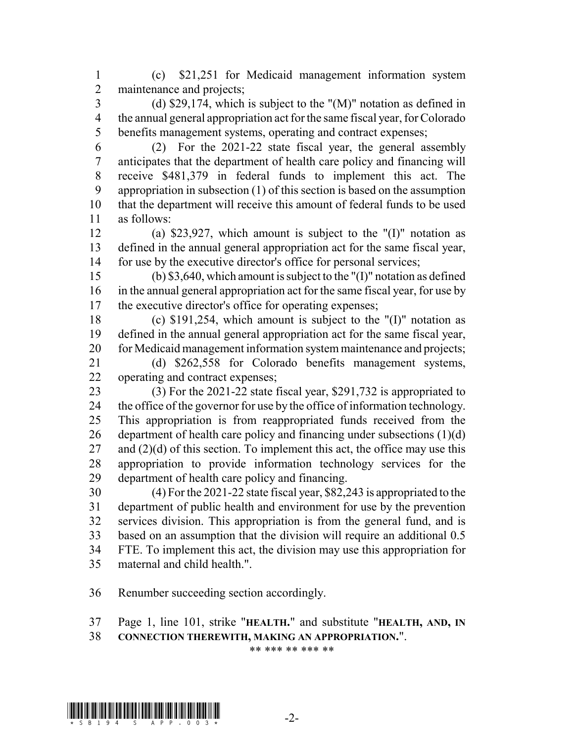(c) \$21,251 for Medicaid management information system maintenance and projects;

 (d) \$29,174, which is subject to the "(M)" notation as defined in the annual general appropriation act for the same fiscal year, for Colorado benefits management systems, operating and contract expenses;

 (2) For the 2021-22 state fiscal year, the general assembly anticipates that the department of health care policy and financing will receive \$481,379 in federal funds to implement this act. The appropriation in subsection (1) of this section is based on the assumption that the department will receive this amount of federal funds to be used as follows:

 (a) \$23,927, which amount is subject to the "(I)" notation as defined in the annual general appropriation act for the same fiscal year, for use by the executive director's office for personal services;

 (b) \$3,640, which amount is subject to the "(I)" notation as defined in the annual general appropriation act for the same fiscal year, for use by the executive director's office for operating expenses;

 (c) \$191,254, which amount is subject to the "(I)" notation as defined in the annual general appropriation act for the same fiscal year, 20 for Medicaid management information system maintenance and projects;

 (d) \$262,558 for Colorado benefits management systems, operating and contract expenses;

 (3) For the 2021-22 state fiscal year, \$291,732 is appropriated to the office of the governor for use by the office of information technology. This appropriation is from reappropriated funds received from the 26 department of health care policy and financing under subsections  $(1)(d)$ 27 and  $(2)(d)$  of this section. To implement this act, the office may use this appropriation to provide information technology services for the department of health care policy and financing.

 (4) For the 2021-22 state fiscal year, \$82,243 is appropriated to the department of public health and environment for use by the prevention services division. This appropriation is from the general fund, and is based on an assumption that the division will require an additional 0.5 FTE. To implement this act, the division may use this appropriation for maternal and child health.".

Renumber succeeding section accordingly.

Page 1, line 101, strike "**HEALTH.**" and substitute "**HEALTH, AND, IN**

**CONNECTION THEREWITH, MAKING AN APPROPRIATION.**".

\*\* \*\*\* \*\* \*\*\* \*\*